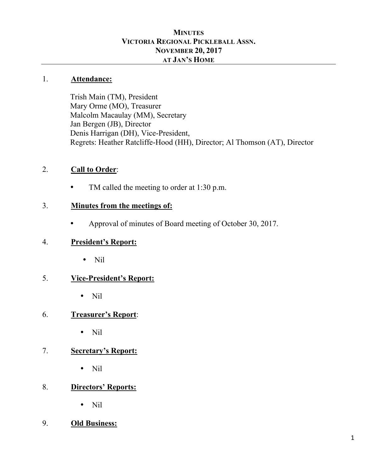#### **MINUTES VICTORIA REGIONAL PICKLEBALL ASSN. NOVEMBER 20, 2017 AT JAN'S HOME**

#### 1. **Attendance:**

Trish Main (TM), President Mary Orme (MO), Treasurer Malcolm Macaulay (MM), Secretary Jan Bergen (JB), Director Denis Harrigan (DH), Vice-President, Regrets: Heather Ratcliffe-Hood (HH), Director; Al Thomson (AT), Director

#### 2. **Call to Order**:

• TM called the meeting to order at 1:30 p.m.

#### 3. **Minutes from the meetings of:**

• Approval of minutes of Board meeting of October 30, 2017.

#### 4. **President's Report:**

• Nil

### 5. **Vice-President's Report:**

• Nil

#### 6. **Treasurer's Report**:

• Nil

#### 7. **Secretary's Report:**

• Nil

### 8. **Directors' Reports:**

• Nil

#### 9. **Old Business:**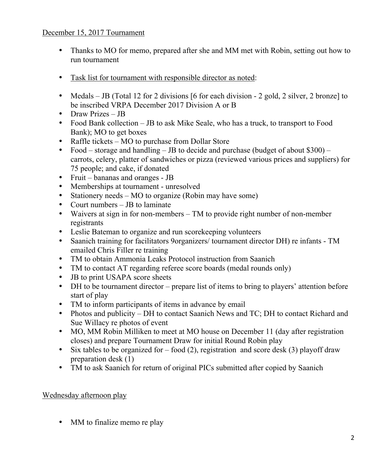#### December 15, 2017 Tournament

- Thanks to MO for memo, prepared after she and MM met with Robin, setting out how to run tournament
- Task list for tournament with responsible director as noted:
- Medals JB (Total 12 for 2 divisions [6 for each division 2 gold, 2 silver, 2 bronze] to be inscribed VRPA December 2017 Division A or B
- Draw Prizes JB
- Food Bank collection JB to ask Mike Seale, who has a truck, to transport to Food Bank); MO to get boxes
- Raffle tickets MO to purchase from Dollar Store
- Food storage and handling JB to decide and purchase (budget of about  $$300$ ) carrots, celery, platter of sandwiches or pizza (reviewed various prices and suppliers) for 75 people; and cake, if donated
- Fruit bananas and oranges JB
- Memberships at tournament unresolved
- Stationery needs MO to organize (Robin may have some)
- Court numbers JB to laminate
- Waivers at sign in for non-members TM to provide right number of non-member registrants
- Leslie Bateman to organize and run scorekeeping volunteers
- Saanich training for facilitators 9organizers/ tournament director DH) re infants TM emailed Chris Filler re training
- TM to obtain Ammonia Leaks Protocol instruction from Saanich
- TM to contact AT regarding referee score boards (medal rounds only)
- JB to print USAPA score sheets
- DH to be tournament director prepare list of items to bring to players' attention before start of play
- TM to inform participants of items in advance by email
- Photos and publicity DH to contact Saanich News and TC; DH to contact Richard and Sue Willacy re photos of event
- MO, MM Robin Milliken to meet at MO house on December 11 (day after registration closes) and prepare Tournament Draw for initial Round Robin play
- Six tables to be organized for food (2), registration and score desk (3) playoff draw preparation desk (1)
- TM to ask Saanich for return of original PICs submitted after copied by Saanich

#### Wednesday afternoon play

• MM to finalize memo re play